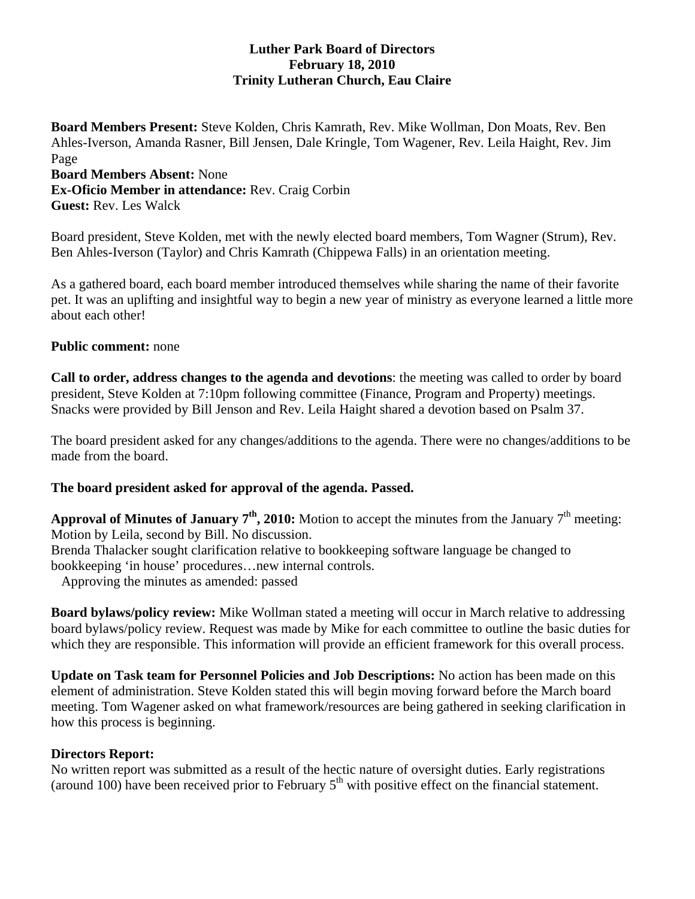### **Luther Park Board of Directors February 18, 2010 Trinity Lutheran Church, Eau Claire**

**Board Members Present:** Steve Kolden, Chris Kamrath, Rev. Mike Wollman, Don Moats, Rev. Ben Ahles-Iverson, Amanda Rasner, Bill Jensen, Dale Kringle, Tom Wagener, Rev. Leila Haight, Rev. Jim Page **Board Members Absent:** None **Ex-Oficio Member in attendance:** Rev. Craig Corbin

**Guest:** Rev. Les Walck

Board president, Steve Kolden, met with the newly elected board members, Tom Wagner (Strum), Rev. Ben Ahles-Iverson (Taylor) and Chris Kamrath (Chippewa Falls) in an orientation meeting.

As a gathered board, each board member introduced themselves while sharing the name of their favorite pet. It was an uplifting and insightful way to begin a new year of ministry as everyone learned a little more about each other!

### **Public comment:** none

**Call to order, address changes to the agenda and devotions**: the meeting was called to order by board president, Steve Kolden at 7:10pm following committee (Finance, Program and Property) meetings. Snacks were provided by Bill Jenson and Rev. Leila Haight shared a devotion based on Psalm 37.

The board president asked for any changes/additions to the agenda. There were no changes/additions to be made from the board.

# **The board president asked for approval of the agenda. Passed.**

**Approval of Minutes of January**  $7<sup>th</sup>$ **, 2010:** Motion to accept the minutes from the January  $7<sup>th</sup>$  meeting: Motion by Leila, second by Bill. No discussion.

Brenda Thalacker sought clarification relative to bookkeeping software language be changed to bookkeeping 'in house' procedures…new internal controls.

Approving the minutes as amended: passed

**Board bylaws/policy review:** Mike Wollman stated a meeting will occur in March relative to addressing board bylaws/policy review. Request was made by Mike for each committee to outline the basic duties for which they are responsible. This information will provide an efficient framework for this overall process.

**Update on Task team for Personnel Policies and Job Descriptions:** No action has been made on this element of administration. Steve Kolden stated this will begin moving forward before the March board meeting. Tom Wagener asked on what framework/resources are being gathered in seeking clarification in how this process is beginning.

#### **Directors Report:**

No written report was submitted as a result of the hectic nature of oversight duties. Early registrations (around 100) have been received prior to February  $5<sup>th</sup>$  with positive effect on the financial statement.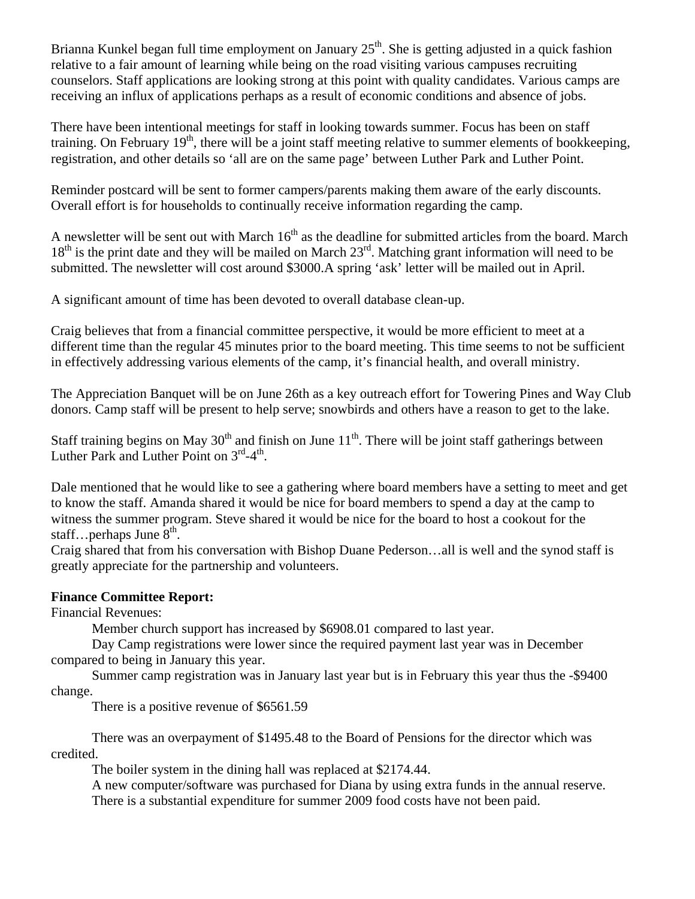Brianna Kunkel began full time employment on January  $25<sup>th</sup>$ . She is getting adjusted in a quick fashion relative to a fair amount of learning while being on the road visiting various campuses recruiting counselors. Staff applications are looking strong at this point with quality candidates. Various camps are receiving an influx of applications perhaps as a result of economic conditions and absence of jobs.

There have been intentional meetings for staff in looking towards summer. Focus has been on staff training. On February  $19<sup>th</sup>$ , there will be a joint staff meeting relative to summer elements of bookkeeping, registration, and other details so 'all are on the same page' between Luther Park and Luther Point.

Reminder postcard will be sent to former campers/parents making them aware of the early discounts. Overall effort is for households to continually receive information regarding the camp.

A newsletter will be sent out with March  $16<sup>th</sup>$  as the deadline for submitted articles from the board. March  $18<sup>th</sup>$  is the print date and they will be mailed on March  $23<sup>rd</sup>$ . Matching grant information will need to be submitted. The newsletter will cost around \$3000.A spring 'ask' letter will be mailed out in April.

A significant amount of time has been devoted to overall database clean-up.

Craig believes that from a financial committee perspective, it would be more efficient to meet at a different time than the regular 45 minutes prior to the board meeting. This time seems to not be sufficient in effectively addressing various elements of the camp, it's financial health, and overall ministry.

The Appreciation Banquet will be on June 26th as a key outreach effort for Towering Pines and Way Club donors. Camp staff will be present to help serve; snowbirds and others have a reason to get to the lake.

Staff training begins on May  $30<sup>th</sup>$  and finish on June  $11<sup>th</sup>$ . There will be joint staff gatherings between Luther Park and Luther Point on  $3^{\text{rd}}-4^{\text{th}}$ .

Dale mentioned that he would like to see a gathering where board members have a setting to meet and get to know the staff. Amanda shared it would be nice for board members to spend a day at the camp to witness the summer program. Steve shared it would be nice for the board to host a cookout for the staff... perhaps June  $8<sup>th</sup>$ .

Craig shared that from his conversation with Bishop Duane Pederson…all is well and the synod staff is greatly appreciate for the partnership and volunteers.

#### **Finance Committee Report:**

Financial Revenues:

Member church support has increased by \$6908.01 compared to last year.

 Day Camp registrations were lower since the required payment last year was in December compared to being in January this year.

 Summer camp registration was in January last year but is in February this year thus the -\$9400 change.

There is a positive revenue of \$6561.59

 There was an overpayment of \$1495.48 to the Board of Pensions for the director which was credited.

The boiler system in the dining hall was replaced at \$2174.44.

 A new computer/software was purchased for Diana by using extra funds in the annual reserve. There is a substantial expenditure for summer 2009 food costs have not been paid.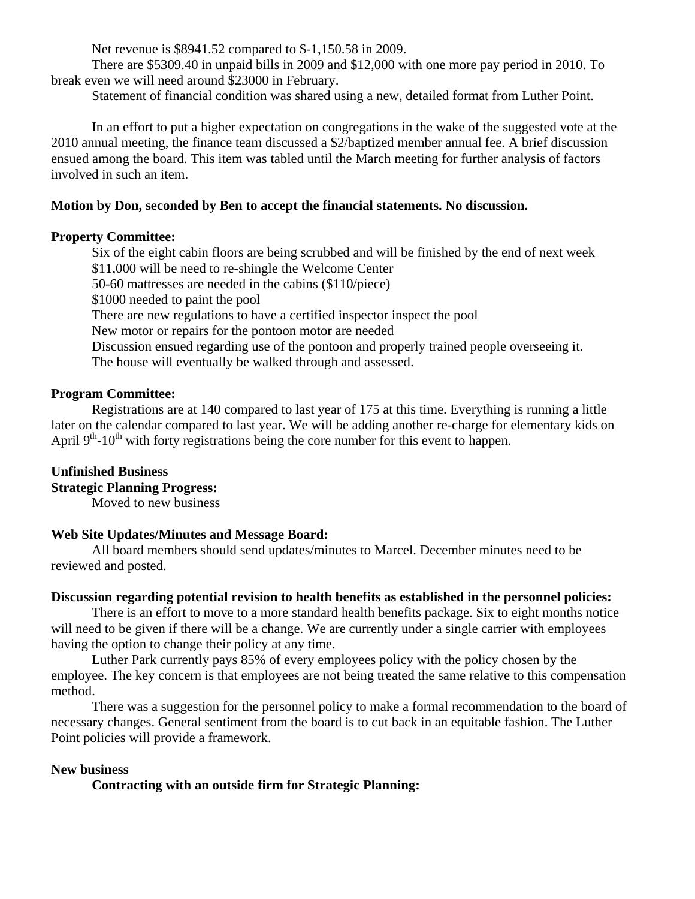Net revenue is \$8941.52 compared to \$-1,150.58 in 2009.

 There are \$5309.40 in unpaid bills in 2009 and \$12,000 with one more pay period in 2010. To break even we will need around \$23000 in February.

Statement of financial condition was shared using a new, detailed format from Luther Point.

 In an effort to put a higher expectation on congregations in the wake of the suggested vote at the 2010 annual meeting, the finance team discussed a \$2/baptized member annual fee. A brief discussion ensued among the board. This item was tabled until the March meeting for further analysis of factors involved in such an item.

### **Motion by Don, seconded by Ben to accept the financial statements. No discussion.**

### **Property Committee:**

 Six of the eight cabin floors are being scrubbed and will be finished by the end of next week \$11,000 will be need to re-shingle the Welcome Center 50-60 mattresses are needed in the cabins (\$110/piece) \$1000 needed to paint the pool There are new regulations to have a certified inspector inspect the pool New motor or repairs for the pontoon motor are needed Discussion ensued regarding use of the pontoon and properly trained people overseeing it. The house will eventually be walked through and assessed.

# **Program Committee:**

 Registrations are at 140 compared to last year of 175 at this time. Everything is running a little later on the calendar compared to last year. We will be adding another re-charge for elementary kids on April  $9<sup>th</sup>$ -10<sup>th</sup> with forty registrations being the core number for this event to happen.

# **Unfinished Business**

# **Strategic Planning Progress:**

Moved to new business

# **Web Site Updates/Minutes and Message Board:**

 All board members should send updates/minutes to Marcel. December minutes need to be reviewed and posted.

#### **Discussion regarding potential revision to health benefits as established in the personnel policies:**

 There is an effort to move to a more standard health benefits package. Six to eight months notice will need to be given if there will be a change. We are currently under a single carrier with employees having the option to change their policy at any time.

 Luther Park currently pays 85% of every employees policy with the policy chosen by the employee. The key concern is that employees are not being treated the same relative to this compensation method.

There was a suggestion for the personnel policy to make a formal recommendation to the board of necessary changes. General sentiment from the board is to cut back in an equitable fashion. The Luther Point policies will provide a framework.

# **New business**

 **Contracting with an outside firm for Strategic Planning:**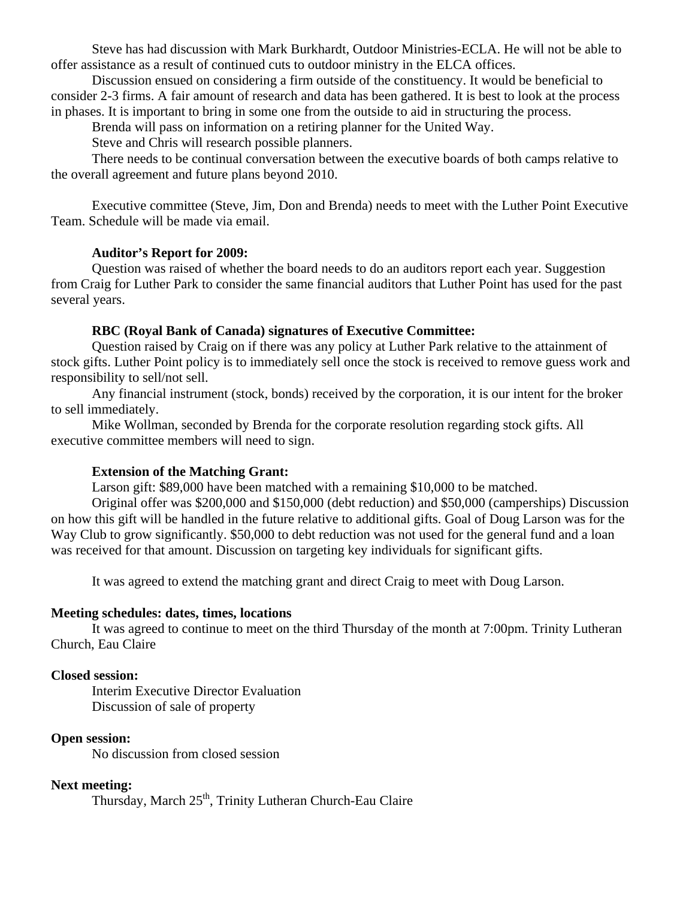Steve has had discussion with Mark Burkhardt, Outdoor Ministries-ECLA. He will not be able to offer assistance as a result of continued cuts to outdoor ministry in the ELCA offices.

 Discussion ensued on considering a firm outside of the constituency. It would be beneficial to consider 2-3 firms. A fair amount of research and data has been gathered. It is best to look at the process in phases. It is important to bring in some one from the outside to aid in structuring the process.

Brenda will pass on information on a retiring planner for the United Way.

Steve and Chris will research possible planners.

 There needs to be continual conversation between the executive boards of both camps relative to the overall agreement and future plans beyond 2010.

 Executive committee (Steve, Jim, Don and Brenda) needs to meet with the Luther Point Executive Team. Schedule will be made via email.

#### **Auditor's Report for 2009:**

 Question was raised of whether the board needs to do an auditors report each year. Suggestion from Craig for Luther Park to consider the same financial auditors that Luther Point has used for the past several years.

#### **RBC (Royal Bank of Canada) signatures of Executive Committee:**

 Question raised by Craig on if there was any policy at Luther Park relative to the attainment of stock gifts. Luther Point policy is to immediately sell once the stock is received to remove guess work and responsibility to sell/not sell.

 Any financial instrument (stock, bonds) received by the corporation, it is our intent for the broker to sell immediately.

 Mike Wollman, seconded by Brenda for the corporate resolution regarding stock gifts. All executive committee members will need to sign.

#### **Extension of the Matching Grant:**

Larson gift: \$89,000 have been matched with a remaining \$10,000 to be matched.

 Original offer was \$200,000 and \$150,000 (debt reduction) and \$50,000 (camperships) Discussion on how this gift will be handled in the future relative to additional gifts. Goal of Doug Larson was for the Way Club to grow significantly. \$50,000 to debt reduction was not used for the general fund and a loan was received for that amount. Discussion on targeting key individuals for significant gifts.

It was agreed to extend the matching grant and direct Craig to meet with Doug Larson.

#### **Meeting schedules: dates, times, locations**

 It was agreed to continue to meet on the third Thursday of the month at 7:00pm. Trinity Lutheran Church, Eau Claire

#### **Closed session:**

Interim Executive Director Evaluation Discussion of sale of property

### **Open session:**

No discussion from closed session

#### **Next meeting:**

Thursday, March 25<sup>th</sup>, Trinity Lutheran Church-Eau Claire